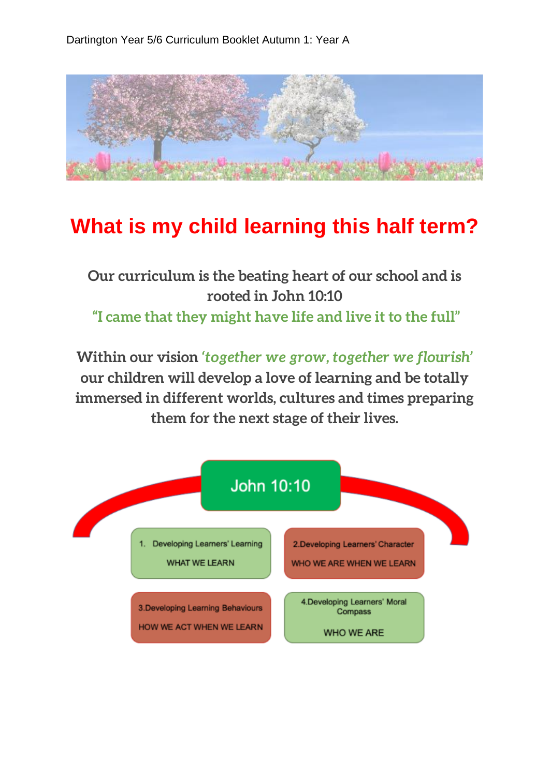

## **What is my child learning this half term?**

**Our curriculum is the beating heart of our school and is rooted in John 10:10 "I came that they might have life and live it to the full"**

**Within our vision** *'together we grow, together we flourish'*  **our children will develop a love of learning and be totally immersed in different worlds, cultures and times preparing them for the next stage of their lives.**

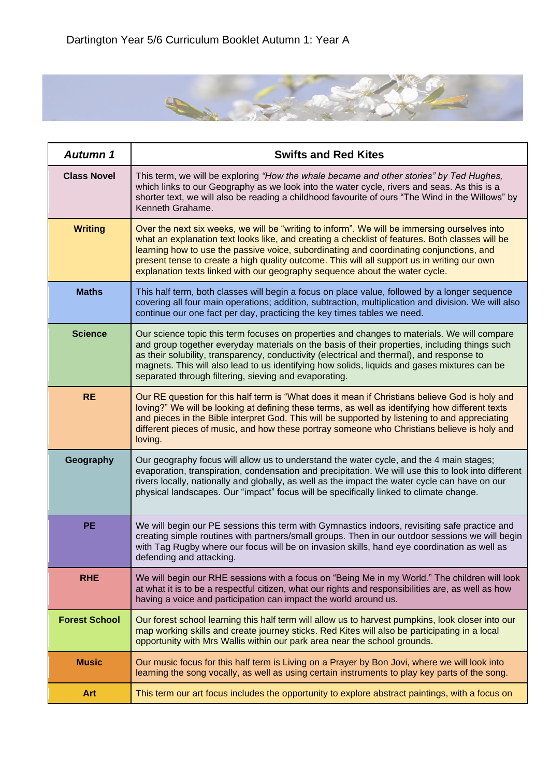

| <b>Autumn 1</b>      | <b>Swifts and Red Kites</b>                                                                                                                                                                                                                                                                                                                                                                                                                                              |
|----------------------|--------------------------------------------------------------------------------------------------------------------------------------------------------------------------------------------------------------------------------------------------------------------------------------------------------------------------------------------------------------------------------------------------------------------------------------------------------------------------|
| <b>Class Novel</b>   | This term, we will be exploring "How the whale became and other stories" by Ted Hughes,<br>which links to our Geography as we look into the water cycle, rivers and seas. As this is a<br>shorter text, we will also be reading a childhood favourite of ours "The Wind in the Willows" by<br>Kenneth Grahame.                                                                                                                                                           |
| <b>Writing</b>       | Over the next six weeks, we will be "writing to inform". We will be immersing ourselves into<br>what an explanation text looks like, and creating a checklist of features. Both classes will be<br>learning how to use the passive voice, subordinating and coordinating conjunctions, and<br>present tense to create a high quality outcome. This will all support us in writing our own<br>explanation texts linked with our geography sequence about the water cycle. |
| <b>Maths</b>         | This half term, both classes will begin a focus on place value, followed by a longer sequence<br>covering all four main operations; addition, subtraction, multiplication and division. We will also<br>continue our one fact per day, practicing the key times tables we need.                                                                                                                                                                                          |
| <b>Science</b>       | Our science topic this term focuses on properties and changes to materials. We will compare<br>and group together everyday materials on the basis of their properties, including things such<br>as their solubility, transparency, conductivity (electrical and thermal), and response to<br>magnets. This will also lead to us identifying how solids, liquids and gases mixtures can be<br>separated through filtering, sieving and evaporating.                       |
| <b>RE</b>            | Our RE question for this half term is "What does it mean if Christians believe God is holy and<br>loving?" We will be looking at defining these terms, as well as identifying how different texts<br>and pieces in the Bible interpret God. This will be supported by listening to and appreciating<br>different pieces of music, and how these portray someone who Christians believe is holy and<br>loving.                                                            |
| Geography            | Our geography focus will allow us to understand the water cycle, and the 4 main stages;<br>evaporation, transpiration, condensation and precipitation. We will use this to look into different<br>rivers locally, nationally and globally, as well as the impact the water cycle can have on our<br>physical landscapes. Our "impact" focus will be specifically linked to climate change.                                                                               |
| <b>PE</b>            | We will begin our PE sessions this term with Gymnastics indoors, revisiting safe practice and<br>creating simple routines with partners/small groups. Then in our outdoor sessions we will begin<br>with Tag Rugby where our focus will be on invasion skills, hand eye coordination as well as<br>defending and attacking.                                                                                                                                              |
| <b>RHE</b>           | We will begin our RHE sessions with a focus on "Being Me in my World." The children will look<br>at what it is to be a respectful citizen, what our rights and responsibilities are, as well as how<br>having a voice and participation can impact the world around us.                                                                                                                                                                                                  |
| <b>Forest School</b> | Our forest school learning this half term will allow us to harvest pumpkins, look closer into our<br>map working skills and create journey sticks. Red Kites will also be participating in a local<br>opportunity with Mrs Wallis within our park area near the school grounds.                                                                                                                                                                                          |
| <b>Music</b>         | Our music focus for this half term is Living on a Prayer by Bon Jovi, where we will look into<br>learning the song vocally, as well as using certain instruments to play key parts of the song.                                                                                                                                                                                                                                                                          |
| <b>Art</b>           | This term our art focus includes the opportunity to explore abstract paintings, with a focus on                                                                                                                                                                                                                                                                                                                                                                          |